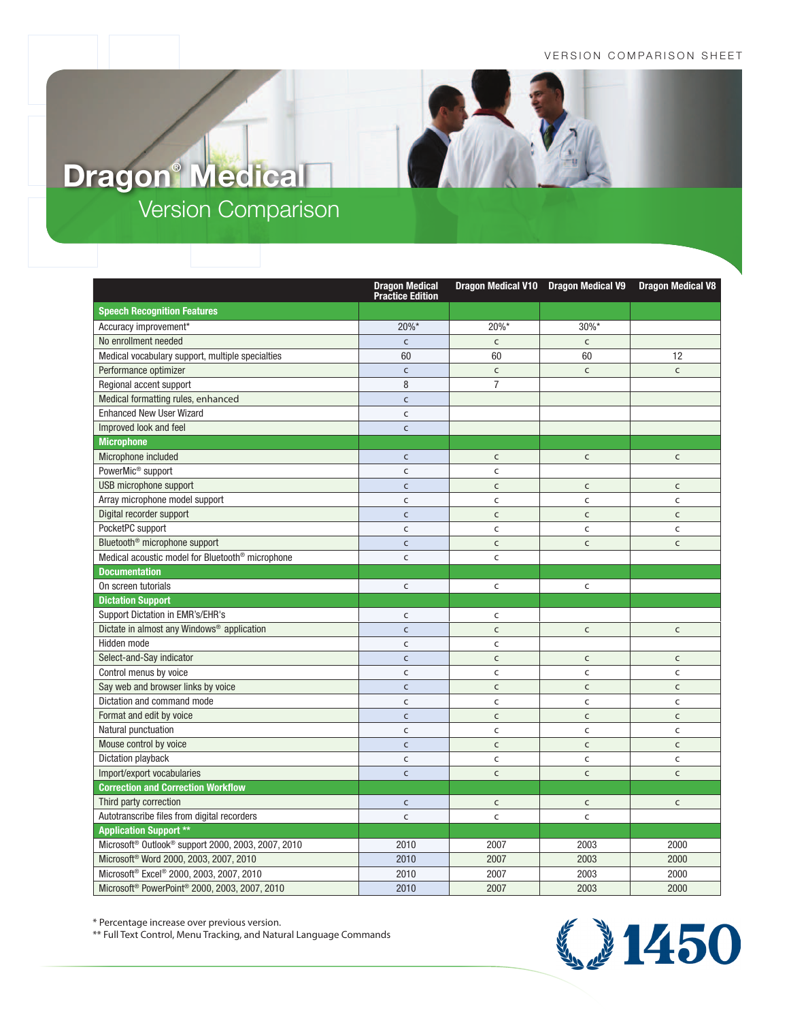## VERSION COMPARISON SHEET

## Version Comparison **Dragon® Medical**

|                                                                            | <b>Dragon Medical</b><br><b>Practice Edition</b> | Dragon Medical V10 Dragon Medical V9 |              | <b>Dragon Medical V8</b> |
|----------------------------------------------------------------------------|--------------------------------------------------|--------------------------------------|--------------|--------------------------|
| <b>Speech Recognition Features</b>                                         |                                                  |                                      |              |                          |
| Accuracy improvement*                                                      | 20%*                                             | 20%*                                 | 30%*         |                          |
| No enrollment needed                                                       | $\mathsf{C}$                                     | $\mathsf{C}$                         | $\mathsf{C}$ |                          |
| Medical vocabulary support, multiple specialties                           | 60                                               | 60                                   | 60           | 12                       |
| Performance optimizer                                                      | $\mathsf{C}$                                     | $\mathsf{C}$                         | $\mathsf{C}$ | $\mathsf{C}$             |
| Regional accent support                                                    | 8                                                | $\overline{7}$                       |              |                          |
| Medical formatting rules, enhanced                                         | $\mathsf{C}$                                     |                                      |              |                          |
| <b>Enhanced New User Wizard</b>                                            | C                                                |                                      |              |                          |
| Improved look and feel                                                     | $\mathsf{C}$                                     |                                      |              |                          |
| <b>Microphone</b>                                                          |                                                  |                                      |              |                          |
| Microphone included                                                        | $\mathsf{C}$                                     | $\mathsf{C}$                         | $\mathsf{C}$ | $\mathsf{C}$             |
| PowerMic <sup>®</sup> support                                              | C                                                | C                                    |              |                          |
| USB microphone support                                                     | $\mathsf{C}$                                     | $\mathsf{C}$                         | $\mathsf{C}$ | $\mathsf{C}$             |
| Array microphone model support                                             | $\mathsf{C}$                                     | C                                    | $\mathsf{C}$ | $\mathsf{C}$             |
| Digital recorder support                                                   | $\mathsf{C}$                                     | $\mathsf{C}$                         | $\mathsf{C}$ | $\mathsf{C}$             |
| PocketPC support                                                           | C                                                | C                                    | $\mathsf{C}$ | $\mathsf{C}$             |
| Bluetooth <sup>®</sup> microphone support                                  | $\mathsf{C}$                                     | $\mathsf{C}$                         | $\mathsf{C}$ | $\mathsf{C}$             |
| Medical acoustic model for Bluetooth <sup>®</sup> microphone               | $\mathsf{C}$                                     | C                                    |              |                          |
| <b>Documentation</b>                                                       |                                                  |                                      |              |                          |
| On screen tutorials                                                        | $\mathsf{C}$                                     | C                                    | $\mathsf{C}$ |                          |
| <b>Dictation Support</b>                                                   |                                                  |                                      |              |                          |
| Support Dictation in EMR's/EHR's                                           | $\mathsf{C}$                                     | C                                    |              |                          |
| Dictate in almost any Windows® application                                 | $\mathsf{C}$                                     | $\mathsf{C}$                         | $\mathsf C$  | $\mathsf{C}$             |
| Hidden mode                                                                | C                                                | C                                    |              |                          |
| Select-and-Say indicator                                                   | $\mathsf{C}$                                     | $\mathsf{C}$                         | $\mathsf{C}$ | $\mathsf{C}$             |
| Control menus by voice                                                     | $\mathsf{C}$                                     | C                                    | $\mathsf{C}$ | $\mathsf{C}$             |
| Say web and browser links by voice                                         | $\mathsf{C}$                                     | $\mathsf{C}$                         | $\mathsf{C}$ | $\mathsf{C}$             |
| Dictation and command mode                                                 | C                                                | C                                    | $\mathsf{C}$ | $\mathsf{C}$             |
| Format and edit by voice                                                   | $\mathsf{C}$                                     | $\mathsf{C}$                         | $\mathsf{C}$ | $\mathsf{C}$             |
| Natural punctuation                                                        | $\mathsf{C}$                                     | C                                    | $\mathsf{C}$ | $\mathsf{C}$             |
| Mouse control by voice                                                     | $\mathsf{C}$                                     | $\mathsf{C}$                         | $\mathsf{C}$ | $\mathsf{C}$             |
| Dictation playback                                                         | C                                                | C                                    | $\mathsf{C}$ | $\mathsf{C}$             |
| Import/export vocabularies                                                 | $\mathsf{C}$                                     | $\mathsf{C}$                         | $\mathsf{C}$ | $\mathsf{C}$             |
| <b>Correction and Correction Workflow</b>                                  |                                                  |                                      |              |                          |
| Third party correction                                                     | $\mathsf{C}$                                     | $\mathsf{C}$                         | $\mathsf{C}$ | $\mathsf{C}$             |
| Autotranscribe files from digital recorders                                | $\mathsf{C}$                                     | C                                    | $\mathsf{C}$ |                          |
| <b>Application Support **</b>                                              |                                                  |                                      |              |                          |
| Microsoft <sup>®</sup> Outlook <sup>®</sup> support 2000, 2003, 2007, 2010 | 2010                                             | 2007                                 | 2003         | 2000                     |
| Microsoft® Word 2000, 2003, 2007, 2010                                     | 2010                                             | 2007                                 | 2003         | 2000                     |
| Microsoft <sup>®</sup> Excel® 2000, 2003, 2007, 2010                       | 2010                                             | 2007                                 | 2003         | 2000                     |
| Microsoft <sup>®</sup> PowerPoint <sup>®</sup> 2000, 2003, 2007, 2010      | 2010                                             | 2007                                 | 2003         | 2000                     |

\* Percentage increase over previous version.

\*\* Full Text Control, Menu Tracking, and Natural Language Commands